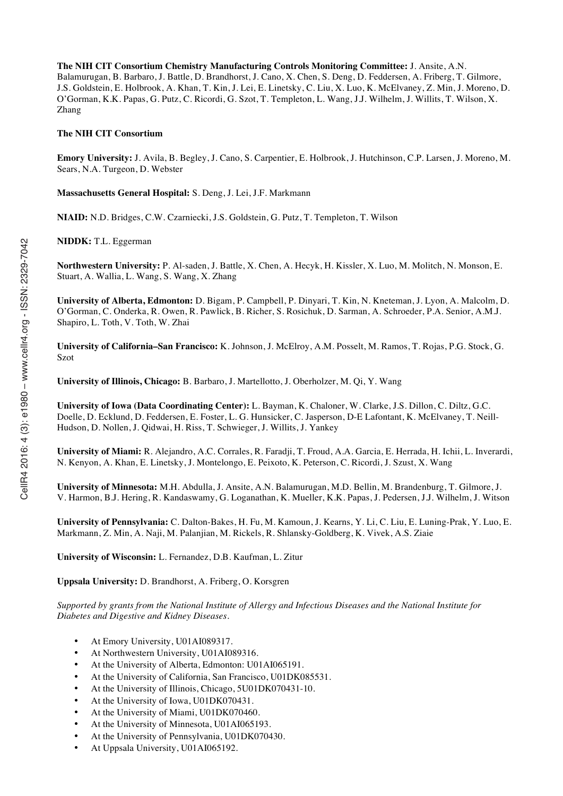**The NIH CIT Consortium Chemistry Manufacturing Controls Monitoring Committee:** J. Ansite, A.N. Balamurugan, B. Barbaro, J. Battle, D. Brandhorst, J. Cano, X. Chen, S. Deng, D. Feddersen, A. Friberg, T. Gilmore, J.S. Goldstein, E. Holbrook, A. Khan, T. Kin, J. Lei, E. Linetsky, C. Liu, X. Luo, K. McElvaney, Z. Min, J. Moreno, D. O'Gorman, K.K. Papas, G. Putz, C. Ricordi, G. Szot, T. Templeton, L. Wang, J.J. Wilhelm, J. Willits, T. Wilson, X. Zhang

#### **The NIH CIT Consortium**

**Emory University:** J. Avila, B. Begley, J. Cano, S. Carpentier, E. Holbrook, J. Hutchinson, C.P. Larsen, J. Moreno, M. Sears, N.A. Turgeon, D. Webster

**Massachusetts General Hospital:** S. Deng, J. Lei, J.F. Markmann

**NIAID:** N.D. Bridges, C.W. Czarniecki, J.S. Goldstein, G. Putz, T. Templeton, T. Wilson

**NIDDK:** T.L. Eggerman

**Northwestern University:** P. Al-saden, J. Battle, X. Chen, A. Hecyk, H. Kissler, X. Luo, M. Molitch, N. Monson, E. Stuart, A. Wallia, L. Wang, S. Wang, X. Zhang

**University of Alberta, Edmonton:** D. Bigam, P. Campbell, P. Dinyari, T. Kin, N. Kneteman, J. Lyon, A. Malcolm, D. O'Gorman, C. Onderka, R. Owen, R. Pawlick, B. Richer, S. Rosichuk, D. Sarman, A. Schroeder, P.A. Senior, A.M.J. Shapiro, L. Toth, V. Toth, W. Zhai

**University of California–San Francisco:** K. Johnson, J. McElroy, A.M. Posselt, M. Ramos, T. Rojas, P.G. Stock, G. Szot

**University of Illinois, Chicago:** B. Barbaro, J. Martellotto, J. Oberholzer, M. Qi, Y. Wang

**University of Iowa (Data Coordinating Center):** L. Bayman, K. Chaloner, W. Clarke, J.S. Dillon, C. Diltz, G.C. Doelle, D. Ecklund, D. Feddersen, E. Foster, L. G. Hunsicker, C. Jasperson, D-E Lafontant, K. McElvaney, T. Neill-Hudson, D. Nollen, J. Qidwai, H. Riss, T. Schwieger, J. Willits, J. Yankey

**University of Miami:** R. Alejandro, A.C. Corrales, R. Faradji, T. Froud, A.A. Garcia, E. Herrada, H. Ichii, L. Inverardi, N. Kenyon, A. Khan, E. Linetsky, J. Montelongo, E. Peixoto, K. Peterson, C. Ricordi, J. Szust, X. Wang

**University of Minnesota:** M.H. Abdulla, J. Ansite, A.N. Balamurugan, M.D. Bellin, M. Brandenburg, T. Gilmore, J. V. Harmon, B.J. Hering, R. Kandaswamy, G. Loganathan, K. Mueller, K.K. Papas, J. Pedersen, J.J. Wilhelm, J. Witson

**University of Pennsylvania:** C. Dalton-Bakes, H. Fu, M. Kamoun, J. Kearns, Y. Li, C. Liu, E. Luning-Prak, Y. Luo, E. Markmann, Z. Min, A. Naji, M. Palanjian, M. Rickels, R. Shlansky-Goldberg, K. Vivek, A.S. Ziaie

**University of Wisconsin:** L. Fernandez, D.B. Kaufman, L. Zitur

**Uppsala University:** D. Brandhorst, A. Friberg, O. Korsgren

*Supported by grants from the National Institute of Allergy and Infectious Diseases and the National Institute for Diabetes and Digestive and Kidney Diseases.*

- At Emory University, U01AI089317.
- At Northwestern University, U01AI089316.
- At the University of Alberta, Edmonton: U01AI065191.
- At the University of California, San Francisco, U01DK085531.
- At the University of Illinois, Chicago, 5U01DK070431-10.
- At the University of Iowa, U01DK070431.
- At the University of Miami, U01DK070460.
- At the University of Minnesota, U01AI065193.
- At the University of Pennsylvania, U01DK070430.
- At Uppsala University, U01AI065192.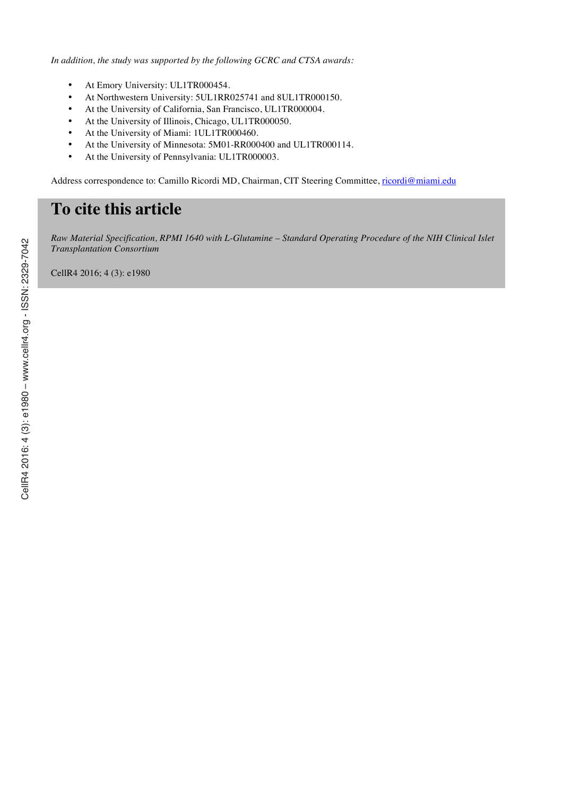*In addition, the study was supported by the following GCRC and CTSA awards:*

- At Emory University: UL1TR000454.
- At Northwestern University: 5UL1RR025741 and 8UL1TR000150.
- At the University of California, San Francisco, UL1TR000004.
- At the University of Illinois, Chicago, UL1TR000050.
- At the University of Miami: 1UL1TR000460.
- At the University of Minnesota: 5M01-RR000400 and UL1TR000114.
- At the University of Pennsylvania: UL1TR000003.

Address correspondence to: Camillo Ricordi MD, Chairman, CIT Steering Committee, ricordi@miami.edu

# **To cite this article**

*Raw Material Specification, RPMI 1640 with L-Glutamine – Standard Operating Procedure of the NIH Clinical Islet Transplantation Consortium*

CellR4 2016; 4 (3): e1980